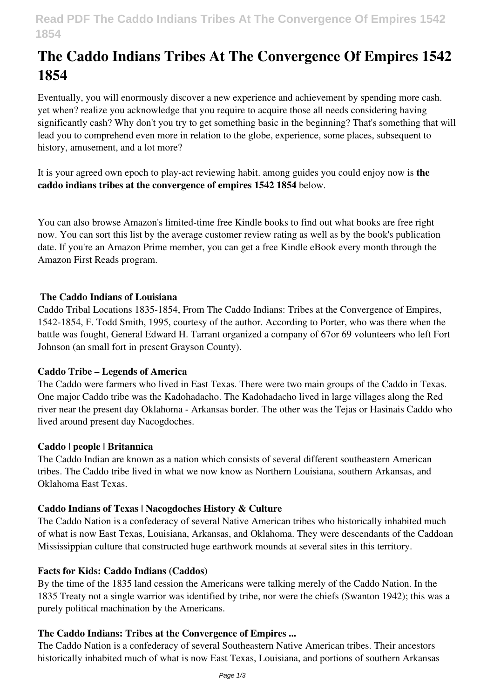# **The Caddo Indians Tribes At The Convergence Of Empires 1542 1854**

Eventually, you will enormously discover a new experience and achievement by spending more cash. yet when? realize you acknowledge that you require to acquire those all needs considering having significantly cash? Why don't you try to get something basic in the beginning? That's something that will lead you to comprehend even more in relation to the globe, experience, some places, subsequent to history, amusement, and a lot more?

It is your agreed own epoch to play-act reviewing habit. among guides you could enjoy now is **the caddo indians tribes at the convergence of empires 1542 1854** below.

You can also browse Amazon's limited-time free Kindle books to find out what books are free right now. You can sort this list by the average customer review rating as well as by the book's publication date. If you're an Amazon Prime member, you can get a free Kindle eBook every month through the Amazon First Reads program.

# **The Caddo Indians of Louisiana**

Caddo Tribal Locations 1835-1854, From The Caddo Indians: Tribes at the Convergence of Empires, 1542-1854, F. Todd Smith, 1995, courtesy of the author. According to Porter, who was there when the battle was fought, General Edward H. Tarrant organized a company of 67or 69 volunteers who left Fort Johnson (an small fort in present Grayson County).

#### **Caddo Tribe – Legends of America**

The Caddo were farmers who lived in East Texas. There were two main groups of the Caddo in Texas. One major Caddo tribe was the Kadohadacho. The Kadohadacho lived in large villages along the Red river near the present day Oklahoma - Arkansas border. The other was the Tejas or Hasinais Caddo who lived around present day Nacogdoches.

#### **Caddo | people | Britannica**

The Caddo Indian are known as a nation which consists of several different southeastern American tribes. The Caddo tribe lived in what we now know as Northern Louisiana, southern Arkansas, and Oklahoma East Texas.

#### **Caddo Indians of Texas | Nacogdoches History & Culture**

The Caddo Nation is a confederacy of several Native American tribes who historically inhabited much of what is now East Texas, Louisiana, Arkansas, and Oklahoma. They were descendants of the Caddoan Mississippian culture that constructed huge earthwork mounds at several sites in this territory.

#### **Facts for Kids: Caddo Indians (Caddos)**

By the time of the 1835 land cession the Americans were talking merely of the Caddo Nation. In the 1835 Treaty not a single warrior was identified by tribe, nor were the chiefs (Swanton 1942); this was a purely political machination by the Americans.

# **The Caddo Indians: Tribes at the Convergence of Empires ...**

The Caddo Nation is a confederacy of several Southeastern Native American tribes. Their ancestors historically inhabited much of what is now East Texas, Louisiana, and portions of southern Arkansas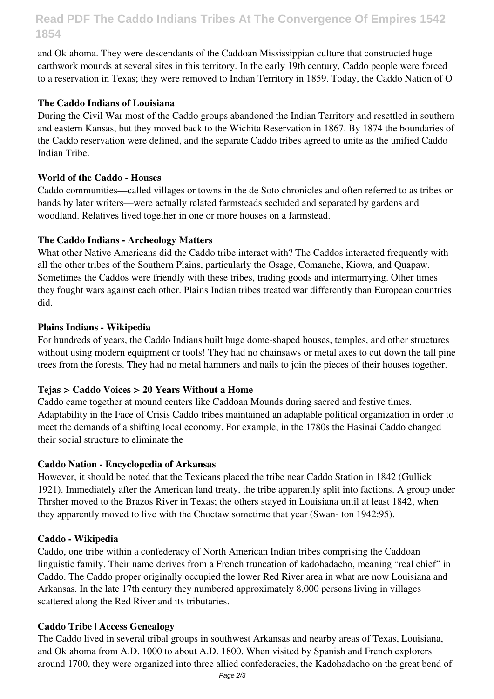# **Read PDF The Caddo Indians Tribes At The Convergence Of Empires 1542 1854**

and Oklahoma. They were descendants of the Caddoan Mississippian culture that constructed huge earthwork mounds at several sites in this territory. In the early 19th century, Caddo people were forced to a reservation in Texas; they were removed to Indian Territory in 1859. Today, the Caddo Nation of O

# **The Caddo Indians of Louisiana**

During the Civil War most of the Caddo groups abandoned the Indian Territory and resettled in southern and eastern Kansas, but they moved back to the Wichita Reservation in 1867. By 1874 the boundaries of the Caddo reservation were defined, and the separate Caddo tribes agreed to unite as the unified Caddo Indian Tribe.

# **World of the Caddo - Houses**

Caddo communities—called villages or towns in the de Soto chronicles and often referred to as tribes or bands by later writers—were actually related farmsteads secluded and separated by gardens and woodland. Relatives lived together in one or more houses on a farmstead.

# **The Caddo Indians - Archeology Matters**

What other Native Americans did the Caddo tribe interact with? The Caddos interacted frequently with all the other tribes of the Southern Plains, particularly the Osage, Comanche, Kiowa, and Quapaw. Sometimes the Caddos were friendly with these tribes, trading goods and intermarrying. Other times they fought wars against each other. Plains Indian tribes treated war differently than European countries did.

# **Plains Indians - Wikipedia**

For hundreds of years, the Caddo Indians built huge dome-shaped houses, temples, and other structures without using modern equipment or tools! They had no chainsaws or metal axes to cut down the tall pine trees from the forests. They had no metal hammers and nails to join the pieces of their houses together.

# **Tejas > Caddo Voices > 20 Years Without a Home**

Caddo came together at mound centers like Caddoan Mounds during sacred and festive times. Adaptability in the Face of Crisis Caddo tribes maintained an adaptable political organization in order to meet the demands of a shifting local economy. For example, in the 1780s the Hasinai Caddo changed their social structure to eliminate the

#### **Caddo Nation - Encyclopedia of Arkansas**

However, it should be noted that the Texicans placed the tribe near Caddo Station in 1842 (Gullick 1921). Immediately after the American land treaty, the tribe apparently split into factions. A group under Thrsher moved to the Brazos River in Texas; the others stayed in Louisiana until at least 1842, when they apparently moved to live with the Choctaw sometime that year (Swan- ton 1942:95).

#### **Caddo - Wikipedia**

Caddo, one tribe within a confederacy of North American Indian tribes comprising the Caddoan linguistic family. Their name derives from a French truncation of kadohadacho, meaning "real chief" in Caddo. The Caddo proper originally occupied the lower Red River area in what are now Louisiana and Arkansas. In the late 17th century they numbered approximately 8,000 persons living in villages scattered along the Red River and its tributaries.

#### **Caddo Tribe | Access Genealogy**

The Caddo lived in several tribal groups in southwest Arkansas and nearby areas of Texas, Louisiana, and Oklahoma from A.D. 1000 to about A.D. 1800. When visited by Spanish and French explorers around 1700, they were organized into three allied confederacies, the Kadohadacho on the great bend of